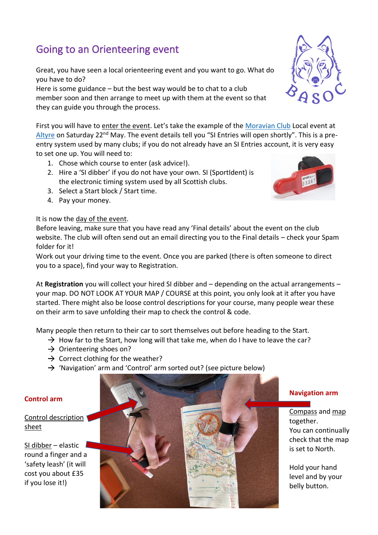## Going to an Orienteering event

Great, you have seen a local orienteering event and you want to go. What do you have to do?

Here is some guidance – but the best way would be to chat to a club member soon and then arrange to meet up with them at the event so that they can guide you through the process.

First you will have to enter the event. Let's take the example of the [Moravian Club](http://mor.scot/) Local event at [Altyre](http://mor.scot/node/106) on Saturday 22<sup>nd</sup> May. The event details tell you "SI Entries will open shortly". This is a preentry system used by many clubs; if you do not already have an SI Entries account, it is very easy to set one up. You will need to:

- 1. Chose which course to enter (ask advice!).
- 2. Hire a 'SI dibber' if you do not have your own. SI (SportIdent) is the electronic timing system used by all Scottish clubs.
- 3. Select a Start block / Start time.
- 4. Pay your money.

## It is now the day of the event.

Before leaving, make sure that you have read any 'Final details' about the event on the club website. The club will often send out an email directing you to the Final details – check your Spam folder for it!

Work out your driving time to the event. Once you are parked (there is often someone to direct you to a space), find your way to Registration.

At **Registration** you will collect your hired SI dibber and – depending on the actual arrangements – your map. DO NOT LOOK AT YOUR MAP / COURSE at this point, you only look at it after you have started. There might also be loose control descriptions for your course, many people wear these on their arm to save unfolding their map to check the control & code.

Many people then return to their car to sort themselves out before heading to the Start.

- $\rightarrow$  How far to the Start, how long will that take me, when do I have to leave the car?
- $\rightarrow$  Orienteering shoes on?
- $\rightarrow$  Correct clothing for the weather?
- $\rightarrow$  'Navigation' arm and 'Control' arm sorted out? (see picture below)

## **Control arm**

Control description sheet

SI dibber – elastic round a finger and a 'safety leash' (it will cost you about £35 if you lose it!)







## **Navigation arm**

Compass and map together. You can continually check that the map is set to North.

Hold your hand level and by your belly button.